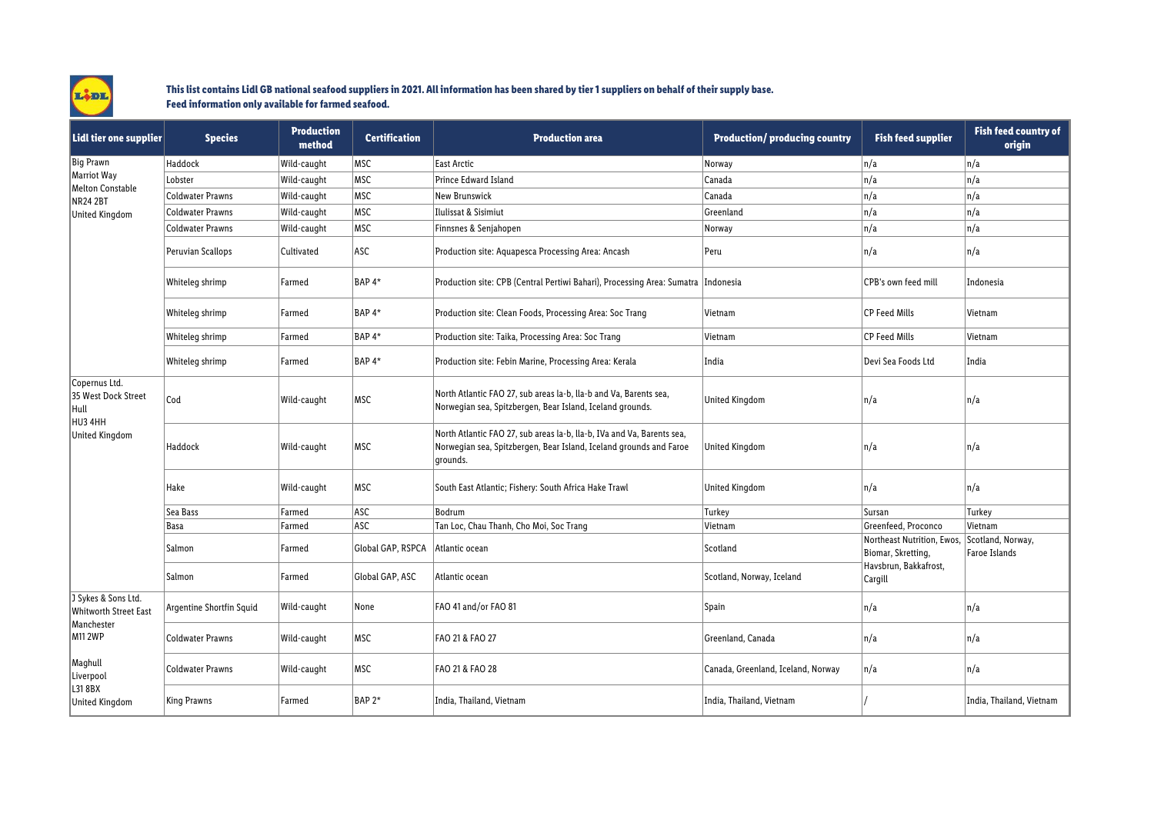

## **This list contains Lidl GB national seafood suppliers in 2021. All information has been shared by tier 1 suppliers on behalf of their supply base. Feed information only available for farmed seafood.**

| Lidl tier one supplier                                                       | <b>Species</b>           | <b>Production</b><br>method | <b>Certification</b> | <b>Production area</b>                                                                                                                                   | <b>Production/producing country</b> | <b>Fish feed supplier</b>                                                            | <b>Fish feed country of</b><br>origin |
|------------------------------------------------------------------------------|--------------------------|-----------------------------|----------------------|----------------------------------------------------------------------------------------------------------------------------------------------------------|-------------------------------------|--------------------------------------------------------------------------------------|---------------------------------------|
| Big Prawn<br>Marriot Way<br>Melton Constable<br>NR24 2BT<br>United Kingdom   | Haddock                  | Wild-caught                 | MSC                  | East Arctic                                                                                                                                              | Norway                              | n/a                                                                                  | n/a                                   |
|                                                                              | Lobster                  | Wild-caught                 | MSC                  | Prince Edward Island                                                                                                                                     | Canada                              | n/a                                                                                  | n/a                                   |
|                                                                              | <b>Coldwater Prawns</b>  | Wild-caught                 | MSC                  | New Brunswick                                                                                                                                            | Canada                              | n/a                                                                                  | n/a                                   |
|                                                                              | <b>Coldwater Prawns</b>  | Wild-caught                 | MSC                  | Ilulissat & Sisimiut                                                                                                                                     | Greenland                           | n/a                                                                                  | n/a                                   |
|                                                                              | <b>Coldwater Prawns</b>  | Wild-caught                 | MSC                  | Finnsnes & Senjahopen                                                                                                                                    | Norway                              | n/a                                                                                  | n/a                                   |
|                                                                              | Peruvian Scallops        | Cultivated                  | <b>ASC</b>           | Production site: Aquapesca Processing Area: Ancash                                                                                                       | Peru                                | n/a                                                                                  | n/a                                   |
|                                                                              | Whiteleg shrimp          | Farmed                      | BAP <sub>4</sub> *   | Production site: CPB (Central Pertiwi Bahari), Processing Area: Sumatra  Indonesia                                                                       |                                     | CPB's own feed mill                                                                  | Indonesia                             |
|                                                                              | Whiteleg shrimp          | Farmed                      | BAP <sub>4</sub> *   | Production site: Clean Foods, Processing Area: Soc Trang                                                                                                 | Vietnam                             | <b>CP Feed Mills</b>                                                                 | Vietnam                               |
|                                                                              | Whiteleg shrimp          | Farmed                      | BAP <sub>4</sub> *   | Production site: Taika, Processing Area: Soc Trang                                                                                                       | Vietnam                             | <b>CP Feed Mills</b>                                                                 | Vietnam                               |
|                                                                              | Whiteleg shrimp          | Farmed                      | BAP <sub>4</sub> *   | Production site: Febin Marine, Processing Area: Kerala                                                                                                   | India                               | Devi Sea Foods Ltd                                                                   | India                                 |
| Copernus Ltd.<br>35 West Dock Street<br>Hull<br>HU3 4HH<br>United Kingdom    | Cod                      | Wild-caught                 | MSC                  | North Atlantic FAO 27, sub areas la-b, lla-b and Va, Barents sea,<br>Norwegian sea, Spitzbergen, Bear Island, Iceland grounds.                           | United Kingdom                      | n/a                                                                                  | n/a                                   |
|                                                                              | Haddock                  | Wild-caught                 | MSC                  | North Atlantic FAO 27, sub areas la-b, lla-b, IVa and Va, Barents sea,<br>Norwegian sea, Spitzbergen, Bear Island, Iceland grounds and Faroe<br>grounds. | United Kingdom                      | n/a                                                                                  | n/a                                   |
|                                                                              | Hake                     | Wild-caught                 | MSC                  | South East Atlantic; Fishery: South Africa Hake Trawl                                                                                                    | <b>United Kingdom</b>               | n/a                                                                                  | n/a                                   |
|                                                                              | Sea Bass                 | Farmed                      | ASC                  | Bodrum                                                                                                                                                   | Turkey                              | Sursan                                                                               | Turkey                                |
|                                                                              | Basa                     | Farmed                      | ASC                  | Tan Loc, Chau Thanh, Cho Moi, Soc Trang                                                                                                                  | Vietnam                             | Greenfeed, Proconco                                                                  | Vietnam                               |
|                                                                              | Salmon                   | Farmed                      | Global GAP, RSPCA    | Atlantic ocean                                                                                                                                           | Scotland                            | Northeast Nutrition, Ewos,<br>Biomar, Skretting,<br>Havsbrun, Bakkafrost,<br>Cargill | Scotland, Norway,<br>Faroe Islands    |
|                                                                              | Salmon                   | Farmed                      | Global GAP, ASC      | Atlantic ocean                                                                                                                                           | Scotland, Norway, Iceland           |                                                                                      |                                       |
| J Sykes & Sons Ltd.<br><b>Whitworth Street East</b><br>Manchester<br>M11 2WP | Argentine Shortfin Squid | Wild-caught                 | None                 | FAO 41 and/or FAO 81                                                                                                                                     | Spain                               | n/a                                                                                  | n/a                                   |
|                                                                              | <b>Coldwater Prawns</b>  | Wild-caught                 | MSC                  | FAO 21 & FAO 27                                                                                                                                          | Greenland, Canada                   | n/a                                                                                  | n/a                                   |
| Maghull<br>Liverpool<br>L318BX<br>United Kingdom                             | <b>Coldwater Prawns</b>  | Wild-caught                 | MSC                  | FAO 21 & FAO 28                                                                                                                                          | Canada, Greenland, Iceland, Norway  | n/a                                                                                  | n/a                                   |
|                                                                              | <b>King Prawns</b>       | Farmed                      | BAP <sub>2</sub> *   | India, Thailand, Vietnam                                                                                                                                 | India, Thailand, Vietnam            |                                                                                      | India, Thailand, Vietnam              |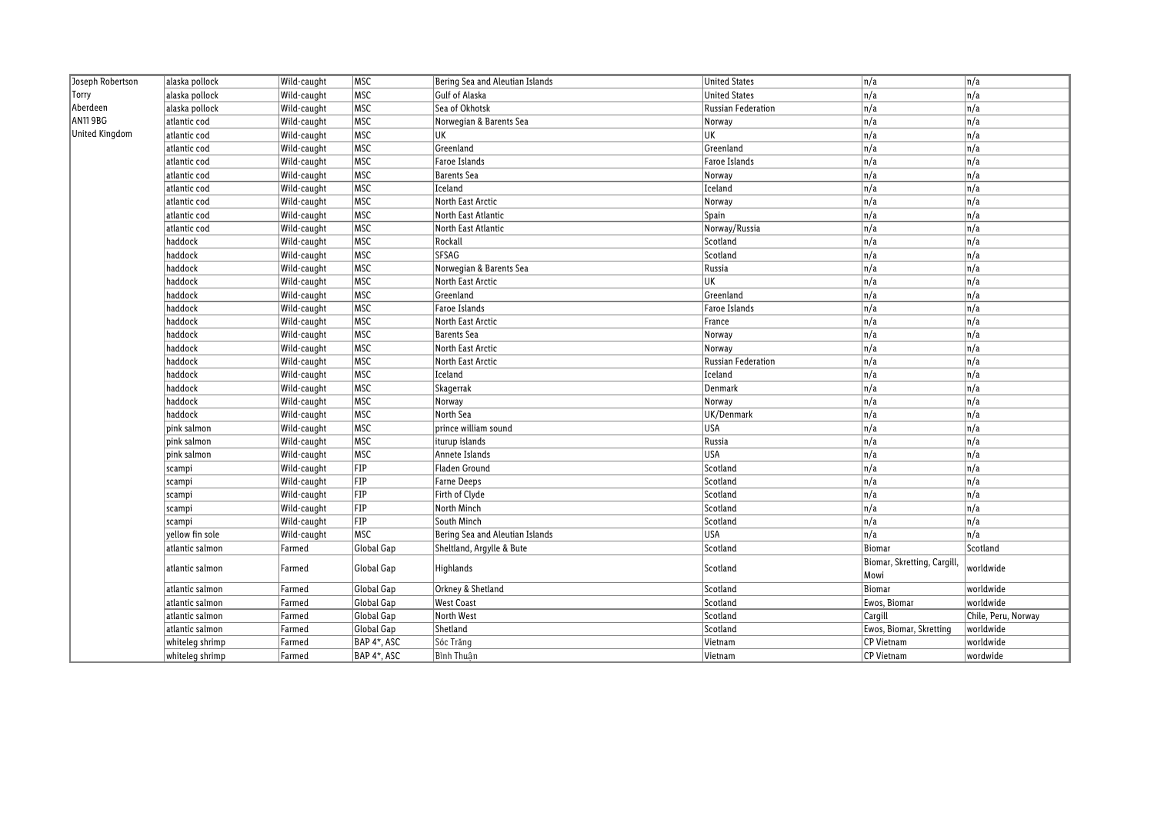| Joseph Robertson | alaska pollock  | Wild-caught | MSC         | Bering Sea and Aleutian Islands | <b>United States</b>      | $\sqrt{n/a}$               | n/a                 |
|------------------|-----------------|-------------|-------------|---------------------------------|---------------------------|----------------------------|---------------------|
| Torry            | alaska pollock  | Wild-caught | <b>MSC</b>  | Gulf of Alaska                  | <b>United States</b>      | n/a                        | $\sqrt{n/a}$        |
| Aberdeen         | alaska pollock  | Wild-caught | MSC         | Sea of Okhotsk                  | <b>Russian Federation</b> | $\overline{n/a}$           | n/a                 |
| AN11 9BG         | atlantic cod    | Wild-caught | MSC         | Norwegian & Barents Sea         | Norway                    | n/a                        | $\sqrt{n/a}$        |
| United Kingdom   | atlantic cod    | Wild-caught | MSC         | UK                              | UK                        | $\overline{n/a}$           | n/a                 |
|                  | atlantic cod    | Wild-caught | MSC         | Greenland                       | Greenland                 | $\overline{n/a}$           | n/a                 |
|                  | atlantic cod    | Wild-caught | MSC         | Faroe Islands                   | Faroe Islands             | $\overline{n/a}$           | n/a                 |
|                  | atlantic cod    | Wild-caught | MSC         | <b>Barents</b> Sea              | Norway                    | $\overline{n/a}$           | n/a                 |
|                  | atlantic cod    | Wild-caught | MSC         | Iceland                         | Iceland                   | $\overline{n/a}$           | n/a                 |
|                  | atlantic cod    | Wild-caught | MSC         | North East Arctic               | Norway                    | n/a                        | n/a                 |
|                  | atlantic cod    | Wild-caught | MSC         | North East Atlantic             | Spain                     | $\overline{n/a}$           | n/a                 |
|                  | atlantic cod    | Wild-caught | MSC         | North East Atlantic             | Norway/Russia             | $\overline{n/a}$           | n/a                 |
|                  | haddock         | Wild-caught | <b>MSC</b>  | Rockall                         | Scotland                  | $\overline{n/a}$           | n/a                 |
|                  | haddock         | Wild-caught | MSC         | SFSAG                           | Scotland                  | $\overline{n/a}$           | $\sqrt{n/a}$        |
|                  | haddock         | Wild-caught | MSC         | Norwegian & Barents Sea         | Russia                    | $\overline{n/a}$           | $\sqrt{n/a}$        |
|                  | haddock         | Wild-caught | MSC         | North East Arctic               | UK                        | n/a                        | n/a                 |
|                  | haddock         | Wild-caught | MSC         | Greenland                       | Greenland                 | n/a                        | n/a                 |
|                  | haddock         | Wild-caught | MSC         | Faroe Islands                   | Faroe Islands             | $\overline{n/a}$           | $\sqrt{n/a}$        |
|                  | haddock         | Wild-caught | MSC         | North East Arctic               | France                    | $\overline{n/a}$           | n/a                 |
|                  | haddock         | Wild-caught | MSC         | <b>Barents</b> Sea              | Norway                    | n/a                        | $\sqrt{n/a}$        |
|                  | haddock         | Wild-caught | <b>MSC</b>  | North East Arctic               | Norway                    | $\overline{n/a}$           | n/a                 |
|                  | haddock         | Wild-caught | MSC         | North East Arctic               | Russian Federation        | $\overline{n/a}$           | $\sqrt{n/a}$        |
|                  | haddock         | Wild-caught | MSC         | Iceland                         | Iceland                   | $\overline{n/a}$           | n/a                 |
|                  | haddock         | Wild-caught | MSC         | Skagerrak                       | Denmark                   | $\overline{n/a}$           | n/a                 |
|                  | haddock         | Wild-caught | MSC         | Norway                          | Norway                    | $\overline{n/a}$           | n/a                 |
|                  | haddock         | Wild-caught | MSC         | North Sea                       | UK/Denmark                | $\overline{n/a}$           | n/a                 |
|                  | pink salmon     | Wild-caught | MSC         | prince william sound            | <b>USA</b>                | $\overline{n/a}$           | n/a                 |
|                  | pink salmon     | Wild-caught | MSC         | iturup islands                  | Russia                    | $\overline{n/a}$           | n/a                 |
|                  | pink salmon     | Wild-caught | <b>MSC</b>  | Annete Islands                  | <b>USA</b>                | n/a                        | n/a                 |
|                  | scampi          | Wild-caught | FIP         | Fladen Ground                   | Scotland                  | $\overline{n/a}$           | n/a                 |
|                  | scampi          | Wild-caught | FIP         | <b>Farne Deeps</b>              | Scotland                  | $\overline{n/a}$           | $\sqrt{n/a}$        |
|                  | scampi          | Wild-caught | FIP         | Firth of Clyde                  | Scotland                  | $\overline{n/a}$           | n/a                 |
|                  | scampi          | Wild-caught | FIP         | North Minch                     | Scotland                  | n/a                        | $\sqrt{n/a}$        |
|                  | scampi          | Wild-caught | FIP         | South Minch                     | Scotland                  | $\overline{n/a}$           | $\sqrt{n/a}$        |
|                  | yellow fin sole | Wild-caught | <b>MSC</b>  | Bering Sea and Aleutian Islands | <b>USA</b>                | $\overline{n/a}$           | n/a                 |
|                  | atlantic salmon | Farmed      | Global Gap  | Sheltland, Argylle & Bute       | Scotland                  | <b>Biomar</b>              | Scotland            |
|                  |                 |             | Global Gap  | Highlands                       | Scotland                  | Biomar, Skretting, Cargill | worldwide           |
|                  | atlantic salmon | Farmed      |             |                                 |                           | Mowi                       |                     |
|                  | atlantic salmon | Farmed      | Global Gap  | Orkney & Shetland               | Scotland                  | Biomar                     | worldwide           |
|                  | atlantic salmon | Farmed      | Global Gap  | <b>West Coast</b>               | Scotland                  | Ewos, Biomar               | worldwide           |
|                  | atlantic salmon | Farmed      | Global Gap  | North West                      | Scotland                  | Cargill                    | Chile, Peru, Norway |
|                  | atlantic salmon | Farmed      | Global Gap  | Shetland                        | Scotland                  | Ewos, Biomar, Skretting    | worldwide           |
|                  | whiteleg shrimp | Farmed      | BAP 4*, ASC | Sóc Trăng                       | Vietnam                   | CP Vietnam                 | worldwide           |
|                  | whiteleg shrimp | Farmed      | BAP 4*, ASC | Bình Thuân                      | Vietnam                   | <b>CP Vietnam</b>          | wordwide            |